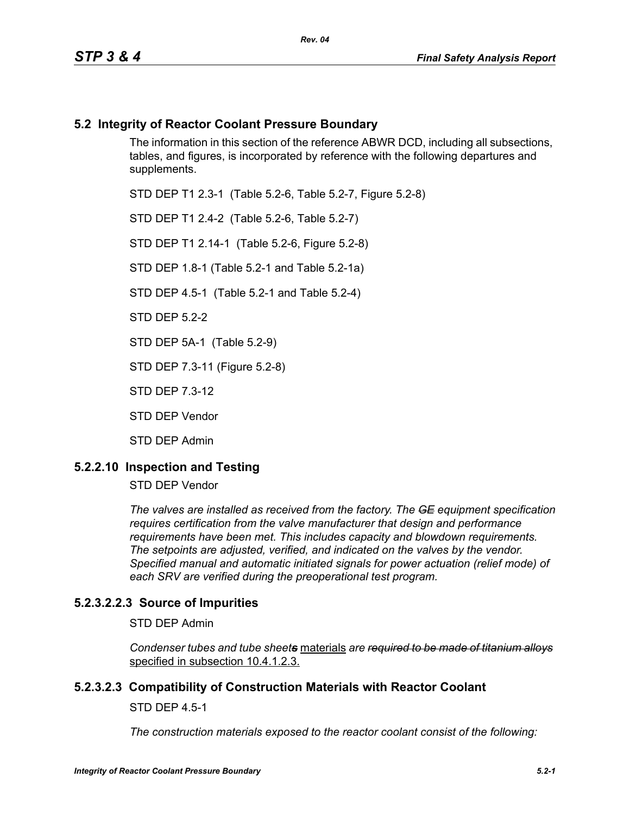# **5.2 Integrity of Reactor Coolant Pressure Boundary**

The information in this section of the reference ABWR DCD, including all subsections, tables, and figures, is incorporated by reference with the following departures and supplements.

STD DEP T1 2.3-1 (Table 5.2-6, Table 5.2-7, Figure 5.2-8)

STD DEP T1 2.4-2 (Table 5.2-6, Table 5.2-7)

STD DEP T1 2.14-1 (Table 5.2-6, Figure 5.2-8)

STD DEP 1.8-1 (Table 5.2-1 and Table 5.2-1a)

STD DEP 4.5-1 (Table 5.2-1 and Table 5.2-4)

STD DEP 5.2-2

STD DEP 5A-1 (Table 5.2-9)

STD DEP 7.3-11 (Figure 5.2-8)

STD DEP 7.3-12

STD DEP Vendor

STD DEP Admin

#### **5.2.2.10 Inspection and Testing**

STD DEP Vendor

*The valves are installed as received from the factory. The GE equipment specification requires certification from the valve manufacturer that design and performance requirements have been met. This includes capacity and blowdown requirements. The setpoints are adjusted, verified, and indicated on the valves by the vendor. Specified manual and automatic initiated signals for power actuation (relief mode) of each SRV are verified during the preoperational test program.*

# **5.2.3.2.2.3 Source of Impurities**

STD DEP Admin

*Condenser tubes and tube sheets* materials *are required to be made of titanium alloys* specified in subsection 10.4.1.2.3.

#### **5.2.3.2.3 Compatibility of Construction Materials with Reactor Coolant**

STD DEP 4.5-1

*The construction materials exposed to the reactor coolant consist of the following:*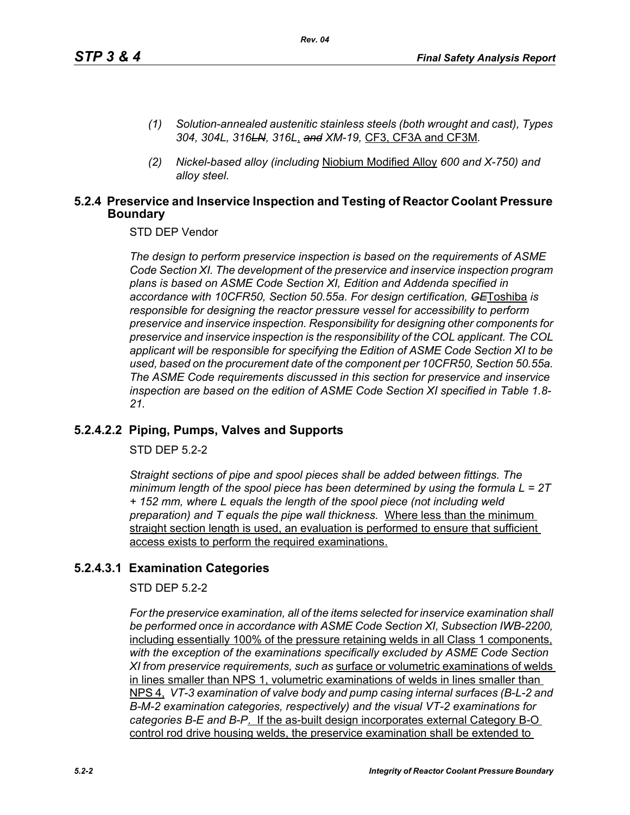- *(1) Solution-annealed austenitic stainless steels (both wrought and cast), Types 304, 304L, 316LN, 316L*, *and XM-19,* CF3, CF3A and CF3M*.*
- *(2) Nickel-based alloy (including* Niobium Modified Alloy *600 and X-750) and alloy steel.*

## **5.2.4 Preservice and Inservice Inspection and Testing of Reactor Coolant Pressure Boundary**

STD DEP Vendor

*The design to perform preservice inspection is based on the requirements of ASME Code Section XI. The development of the preservice and inservice inspection program plans is based on ASME Code Section XI, Edition and Addenda specified in accordance with 10CFR50, Section 50.55a. For design certification, GE*Toshiba *is responsible for designing the reactor pressure vessel for accessibility to perform preservice and inservice inspection. Responsibility for designing other components for preservice and inservice inspection is the responsibility of the COL applicant. The COL applicant will be responsible for specifying the Edition of ASME Code Section XI to be used, based on the procurement date of the component per 10CFR50, Section 50.55a. The ASME Code requirements discussed in this section for preservice and inservice inspection are based on the edition of ASME Code Section XI specified in Table 1.8- 21.*

# **5.2.4.2.2 Piping, Pumps, Valves and Supports**

STD DEP 5.2-2

*Straight sections of pipe and spool pieces shall be added between fittings. The minimum length of the spool piece has been determined by using the formula L = 2T + 152 mm, where L equals the length of the spool piece (not including weld preparation) and T equals the pipe wall thickness.* Where less than the minimum straight section length is used, an evaluation is performed to ensure that sufficient access exists to perform the required examinations.

# **5.2.4.3.1 Examination Categories**

STD DEP 5.2-2

*For the preservice examination, all of the items selected for inservice examination shall*  be performed once in accordance with ASME Code Section XI, Subsection IWB-2200, including essentially 100% of the pressure retaining welds in all Class 1 components, *with the exception of the examinations specifically excluded by ASME Code Section XI from preservice requirements, such as* surface or volumetric examinations of welds in lines smaller than NPS 1, volumetric examinations of welds in lines smaller than NPS 4, *VT-3 examination of valve body and pump casing internal surfaces (B-L-2 and B-M-2 examination categories, respectively) and the visual VT-2 examinations for categories B-E and B-P*. If the as-built design incorporates external Category B-O control rod drive housing welds, the preservice examination shall be extended to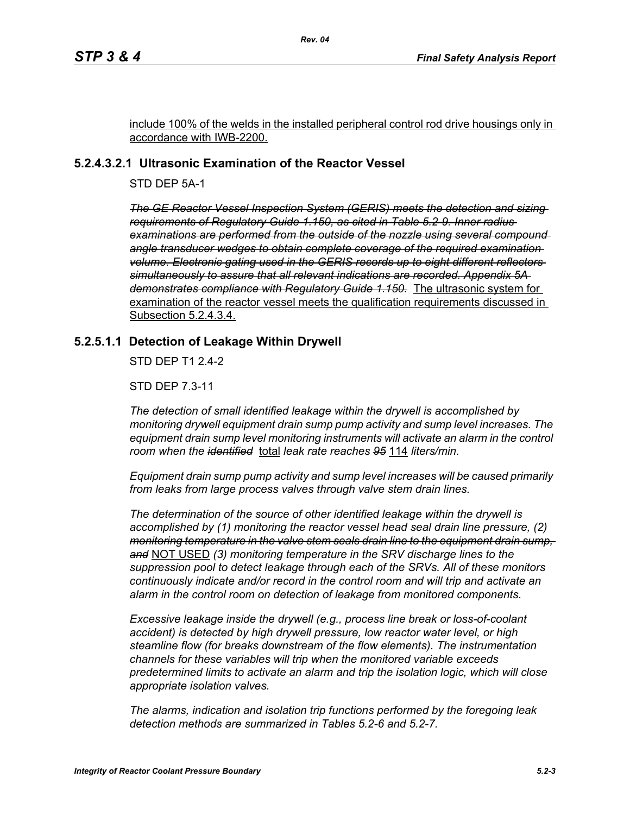include 100% of the welds in the installed peripheral control rod drive housings only in accordance with IWB-2200.

# **5.2.4.3.2.1 Ultrasonic Examination of the Reactor Vessel**

STD DEP 5A-1

*The GE Reactor Vessel Inspection System (GERIS) meets the detection and sizing requirements of Regulatory Guide 1.150, as cited in Table 5.2-9. Inner radius examinations are performed from the outside of the nozzle using several compound angle transducer wedges to obtain complete coverage of the required examination volume. Electronic gating used in the GERIS records up to eight different reflectors simultaneously to assure that all relevant indications are recorded. Appendix 5A demonstrates compliance with Regulatory Guide 1.150.* The ultrasonic system for examination of the reactor vessel meets the qualification requirements discussed in Subsection 5.2.4.3.4.

# **5.2.5.1.1 Detection of Leakage Within Drywell**

STD DEP T1 2.4-2

STD DEP 7.3-11

*The detection of small identified leakage within the drywell is accomplished by monitoring drywell equipment drain sump pump activity and sump level increases. The*  equipment drain sump level monitoring instruments will activate an alarm in the control *room when the identified* total *leak rate reaches 95* 114 *liters/min.*

*Equipment drain sump pump activity and sump level increases will be caused primarily from leaks from large process valves through valve stem drain lines.*

*The determination of the source of other identified leakage within the drywell is accomplished by (1) monitoring the reactor vessel head seal drain line pressure, (2) monitoring temperature in the valve stem seals drain line to the equipment drain sump, and* NOT USED *(3) monitoring temperature in the SRV discharge lines to the suppression pool to detect leakage through each of the SRVs. All of these monitors continuously indicate and/or record in the control room and will trip and activate an alarm in the control room on detection of leakage from monitored components.* 

*Excessive leakage inside the drywell (e.g., process line break or loss-of-coolant accident) is detected by high drywell pressure, low reactor water level, or high steamline flow (for breaks downstream of the flow elements). The instrumentation channels for these variables will trip when the monitored variable exceeds predetermined limits to activate an alarm and trip the isolation logic, which will close appropriate isolation valves.*

*The alarms, indication and isolation trip functions performed by the foregoing leak detection methods are summarized in Tables 5.2-6 and 5.2-7.*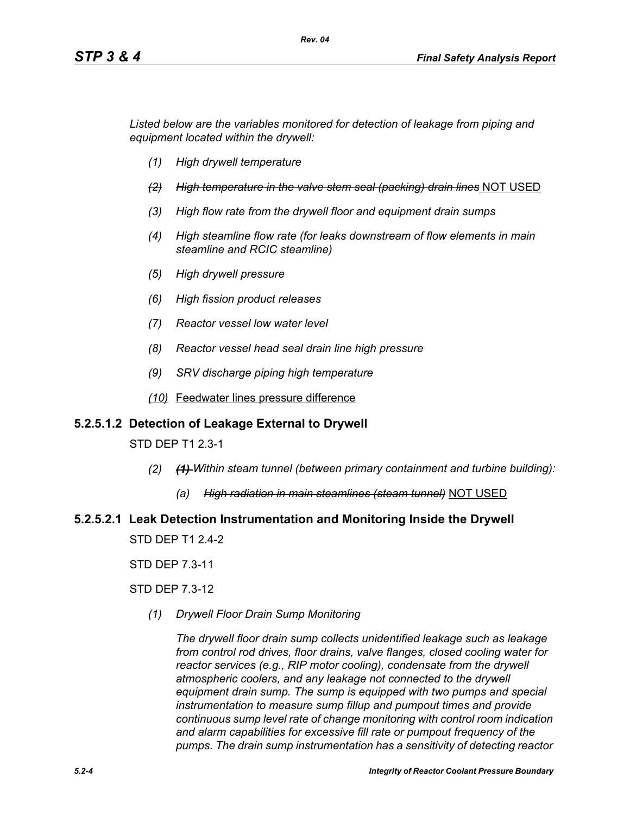*Listed below are the variables monitored for detection of leakage from piping and equipment located within the drywell:*

- *(1) High drywell temperature*
- *(2) High temperature in the valve stem seal (packing) drain lines* NOT USED
- *(3) High flow rate from the drywell floor and equipment drain sumps*
- *(4) High steamline flow rate (for leaks downstream of flow elements in main steamline and RCIC steamline)*
- *(5) High drywell pressure*
- *(6) High fission product releases*
- *(7) Reactor vessel low water level*
- *(8) Reactor vessel head seal drain line high pressure*
- *(9) SRV discharge piping high temperature*
- *(10)* Feedwater lines pressure difference

#### **5.2.5.1.2 Detection of Leakage External to Drywell**

STD DEP T1 2.3-1

- *(2) (1) Within steam tunnel (between primary containment and turbine building):*
	- *(a) High radiation in main steamlines (steam tunnel)* NOT USED

# **5.2.5.2.1 Leak Detection Instrumentation and Monitoring Inside the Drywell**

STD DEP T1 2.4-2

STD DEP 7.3-11

STD DEP 7.3-12

*(1) Drywell Floor Drain Sump Monitoring*

*The drywell floor drain sump collects unidentified leakage such as leakage from control rod drives, floor drains, valve flanges, closed cooling water for reactor services (e.g., RIP motor cooling), condensate from the drywell atmospheric coolers, and any leakage not connected to the drywell equipment drain sump. The sump is equipped with two pumps and special instrumentation to measure sump fillup and pumpout times and provide continuous sump level rate of change monitoring with control room indication and alarm capabilities for excessive fill rate or pumpout frequency of the pumps. The drain sump instrumentation has a sensitivity of detecting reactor*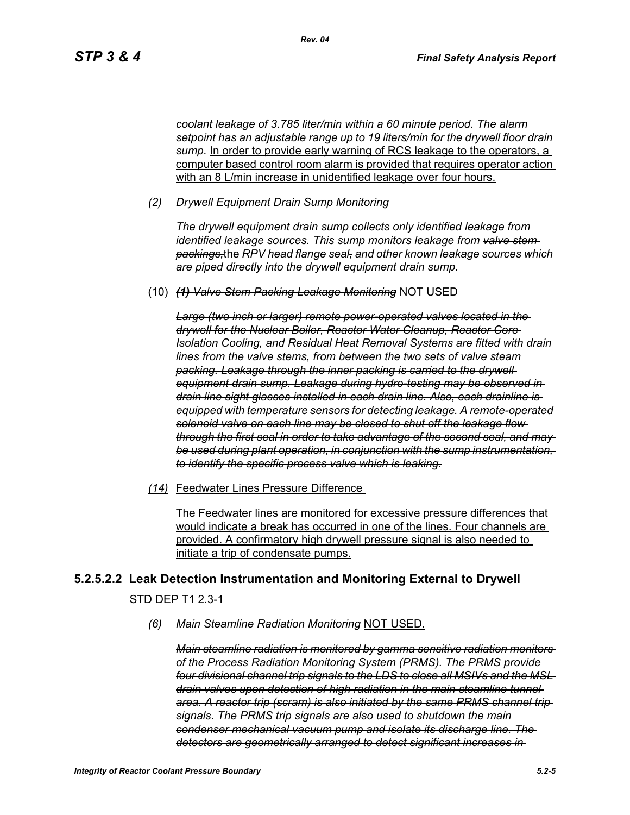*coolant leakage of 3.785 liter/min within a 60 minute period. The alarm setpoint has an adjustable range up to 19 liters/min for the drywell floor drain*  sump. In order to provide early warning of RCS leakage to the operators, a computer based control room alarm is provided that requires operator action with an 8 L/min increase in unidentified leakage over four hours.

*(2) Drywell Equipment Drain Sump Monitoring*

*The drywell equipment drain sump collects only identified leakage from identified leakage sources. This sump monitors leakage from valve stem packings,*the *RPV head flange seal, and other known leakage sources which are piped directly into the drywell equipment drain sump.*

(10) *(1) Valve Stem Packing Leakage Monitoring* NOT USED

*Large (two inch or larger) remote power-operated valves located in the drywell for the Nuclear Boiler, Reactor Water Cleanup, Reactor Core Isolation Cooling, and Residual Heat Removal Systems are fitted with drain lines from the valve stems, from between the two sets of valve steam packing. Leakage through the inner packing is carried to the drywell equipment drain sump. Leakage during hydro-testing may be observed in drain line sight glasses installed in each drain line. Also, each drainline is equipped with temperature sensors for detecting leakage. A remote-operated solenoid valve on each line may be closed to shut off the leakage flow through the first seal in order to take advantage of the second seal, and may be used during plant operation, in conjunction with the sump instrumentation, to identify the specific process valve which is leaking.*

*(14)* Feedwater Lines Pressure Difference

The Feedwater lines are monitored for excessive pressure differences that would indicate a break has occurred in one of the lines. Four channels are provided. A confirmatory high drywell pressure signal is also needed to initiate a trip of condensate pumps.

# **5.2.5.2.2 Leak Detection Instrumentation and Monitoring External to Drywell**

STD DEP T1 2.3-1

*(6) Main Steamline Radiation Monitoring* NOT USED.

*Main steamline radiation is monitored by gamma sensitive radiation monitors of the Process Radiation Monitoring System (PRMS). The PRMS provide four divisional channel trip signals to the LDS to close all MSIVs and the MSL drain valves upon detection of high radiation in the main steamline tunnel area. A reactor trip (scram) is also initiated by the same PRMS channel trip signals. The PRMS trip signals are also used to shutdown the main condenser mechanical vacuum pump and isolate its discharge line. The detectors are geometrically arranged to detect significant increases in*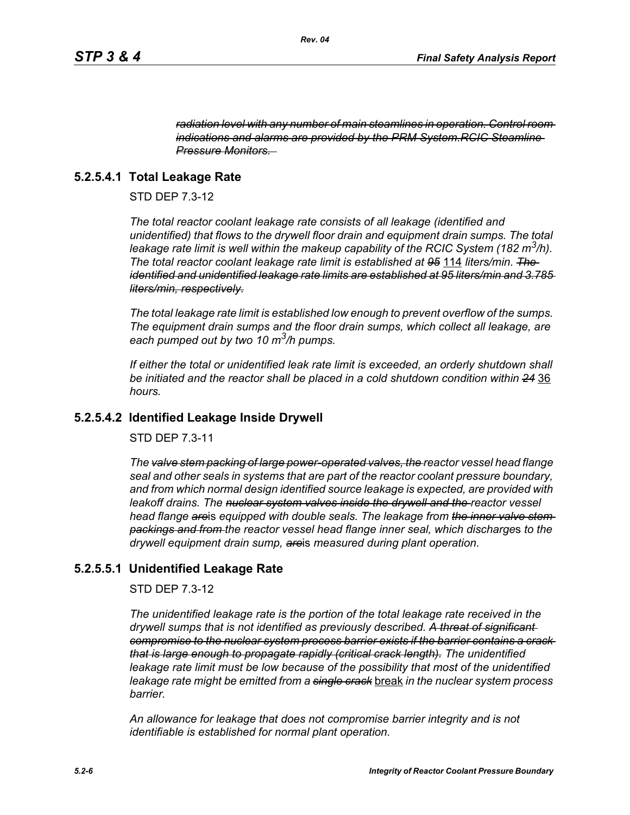*radiation level with any number of main steamlines in operation. Control room indications and alarms are provided by the PRM System.RCIC Steamline Pressure Monitors.* 

# **5.2.5.4.1 Total Leakage Rate**

STD DEP 7.3-12

*The total reactor coolant leakage rate consists of all leakage (identified and unidentified) that flows to the drywell floor drain and equipment drain sumps. The total leakage rate limit is well within the makeup capability of the RCIC System (182 m3/h). The total reactor coolant leakage rate limit is established at 95* 114 *liters/min. The identified and unidentified leakage rate limits are established at 95 liters/min and 3.785 liters/min, respectively.*

*The total leakage rate limit is established low enough to prevent overflow of the sumps. The equipment drain sumps and the floor drain sumps, which collect all leakage, are each pumped out by two 10 m3/h pumps.*

*If either the total or unidentified leak rate limit is exceeded, an orderly shutdown shall be initiated and the reactor shall be placed in a cold shutdown condition within 24* 36 *hours.*

#### **5.2.5.4.2 Identified Leakage Inside Drywell**

STD DEP 7.3-11

*The valve stem packing of large power-operated valves, the reactor vessel head flange seal and other seals in systems that are part of the reactor coolant pressure boundary, and from which normal design identified source leakage is expected, are provided with leakoff drains. The nuclear system valves inside the drywell and the reactor vessel head flange are*is *equipped with double seals. The leakage from the inner valve stem packings and from the reactor vessel head flange inner seal, which discharge*s *to the drywell equipment drain sump, are*is *measured during plant operation.*

# **5.2.5.5.1 Unidentified Leakage Rate**

STD DEP 7.3-12

*The unidentified leakage rate is the portion of the total leakage rate received in the drywell sumps that is not identified as previously described. A threat of significant compromise to the nuclear system process barrier exists if the barrier contains a crack that is large enough to propagate rapidly (critical crack length). The unidentified leakage rate limit must be low because of the possibility that most of the unidentified leakage rate might be emitted from a single crack* break *in the nuclear system process barrier.*

*An allowance for leakage that does not compromise barrier integrity and is not identifiable is established for normal plant operation.*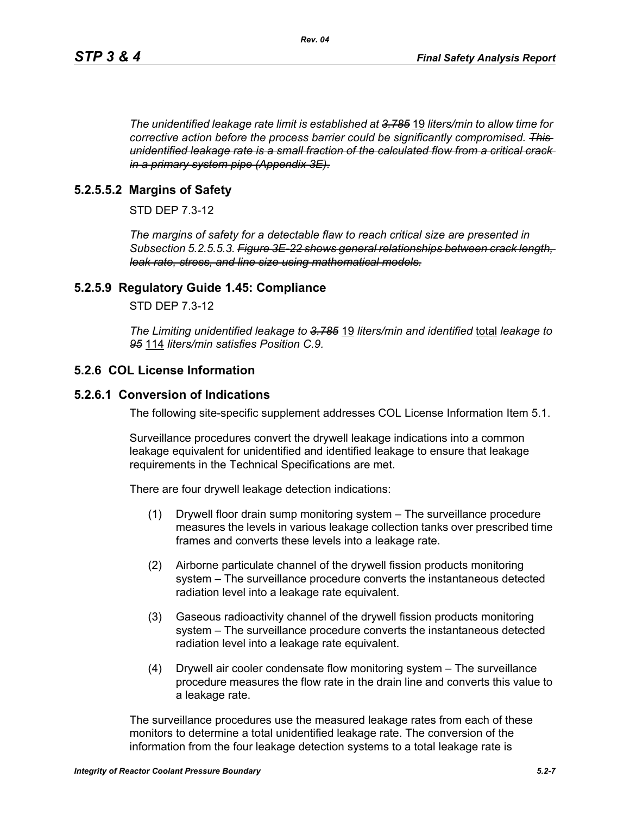*The unidentified leakage rate limit is established at 3.785* 19 *liters/min to allow time for corrective action before the process barrier could be significantly compromised. This unidentified leakage rate is a small fraction of the calculated flow from a critical crack in a primary system pipe (Appendix 3E).*

# **5.2.5.5.2 Margins of Safety**

STD DEP 7.3-12

*The margins of safety for a detectable flaw to reach critical size are presented in Subsection 5.2.5.5.3. Figure 3E-22 shows general relationships between crack length, leak rate, stress, and line size using mathematical models.*

# **5.2.5.9 Regulatory Guide 1.45: Compliance**

STD DEP 7.3-12

*The Limiting unidentified leakage to 3.785* 19 *liters/min and identified* total *leakage to 95* 114 *liters/min satisfies Position C.9.*

# **5.2.6 COL License Information**

# **5.2.6.1 Conversion of Indications**

The following site-specific supplement addresses COL License Information Item 5.1.

Surveillance procedures convert the drywell leakage indications into a common leakage equivalent for unidentified and identified leakage to ensure that leakage requirements in the Technical Specifications are met.

There are four drywell leakage detection indications:

- (1) Drywell floor drain sump monitoring system The surveillance procedure measures the levels in various leakage collection tanks over prescribed time frames and converts these levels into a leakage rate.
- (2) Airborne particulate channel of the drywell fission products monitoring system – The surveillance procedure converts the instantaneous detected radiation level into a leakage rate equivalent.
- (3) Gaseous radioactivity channel of the drywell fission products monitoring system – The surveillance procedure converts the instantaneous detected radiation level into a leakage rate equivalent.
- (4) Drywell air cooler condensate flow monitoring system The surveillance procedure measures the flow rate in the drain line and converts this value to a leakage rate.

The surveillance procedures use the measured leakage rates from each of these monitors to determine a total unidentified leakage rate. The conversion of the information from the four leakage detection systems to a total leakage rate is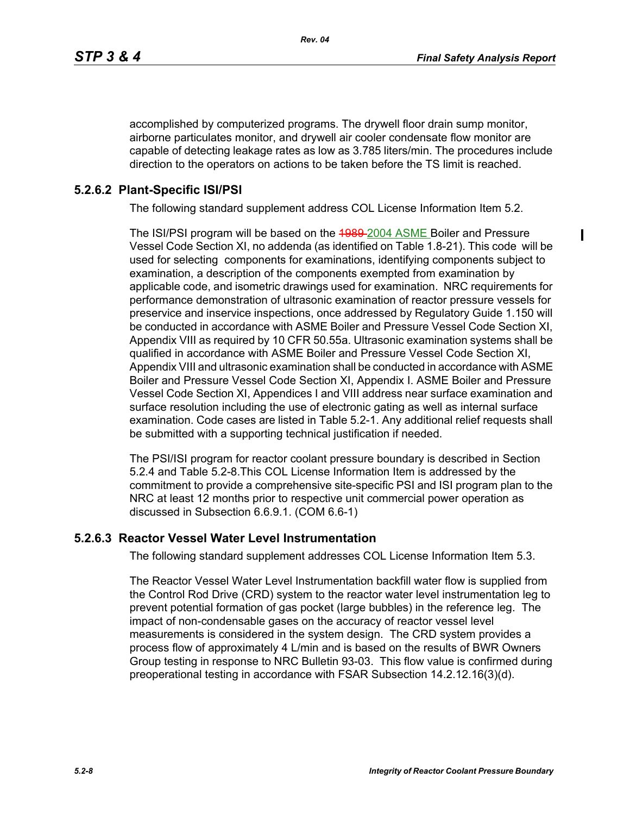accomplished by computerized programs. The drywell floor drain sump monitor, airborne particulates monitor, and drywell air cooler condensate flow monitor are capable of detecting leakage rates as low as 3.785 liters/min. The procedures include direction to the operators on actions to be taken before the TS limit is reached.

# **5.2.6.2 Plant-Specific ISI/PSI**

The following standard supplement address COL License Information Item 5.2.

The ISI/PSI program will be based on the 4989-2004 ASME Boiler and Pressure Vessel Code Section XI, no addenda (as identified on Table 1.8-21). This code will be used for selecting components for examinations, identifying components subject to examination, a description of the components exempted from examination by applicable code, and isometric drawings used for examination. NRC requirements for performance demonstration of ultrasonic examination of reactor pressure vessels for preservice and inservice inspections, once addressed by Regulatory Guide 1.150 will be conducted in accordance with ASME Boiler and Pressure Vessel Code Section XI, Appendix VIII as required by 10 CFR 50.55a. Ultrasonic examination systems shall be qualified in accordance with ASME Boiler and Pressure Vessel Code Section XI, Appendix VIII and ultrasonic examination shall be conducted in accordance with ASME Boiler and Pressure Vessel Code Section XI, Appendix I. ASME Boiler and Pressure Vessel Code Section XI, Appendices I and VIII address near surface examination and surface resolution including the use of electronic gating as well as internal surface examination. Code cases are listed in Table 5.2-1. Any additional relief requests shall be submitted with a supporting technical justification if needed.

The PSI/ISI program for reactor coolant pressure boundary is described in Section 5.2.4 and Table 5.2-8.This COL License Information Item is addressed by the commitment to provide a comprehensive site-specific PSI and ISI program plan to the NRC at least 12 months prior to respective unit commercial power operation as discussed in Subsection 6.6.9.1. (COM 6.6-1)

#### **5.2.6.3 Reactor Vessel Water Level Instrumentation**

The following standard supplement addresses COL License Information Item 5.3.

The Reactor Vessel Water Level Instrumentation backfill water flow is supplied from the Control Rod Drive (CRD) system to the reactor water level instrumentation leg to prevent potential formation of gas pocket (large bubbles) in the reference leg. The impact of non-condensable gases on the accuracy of reactor vessel level measurements is considered in the system design. The CRD system provides a process flow of approximately 4 L/min and is based on the results of BWR Owners Group testing in response to NRC Bulletin 93-03. This flow value is confirmed during preoperational testing in accordance with FSAR Subsection 14.2.12.16(3)(d).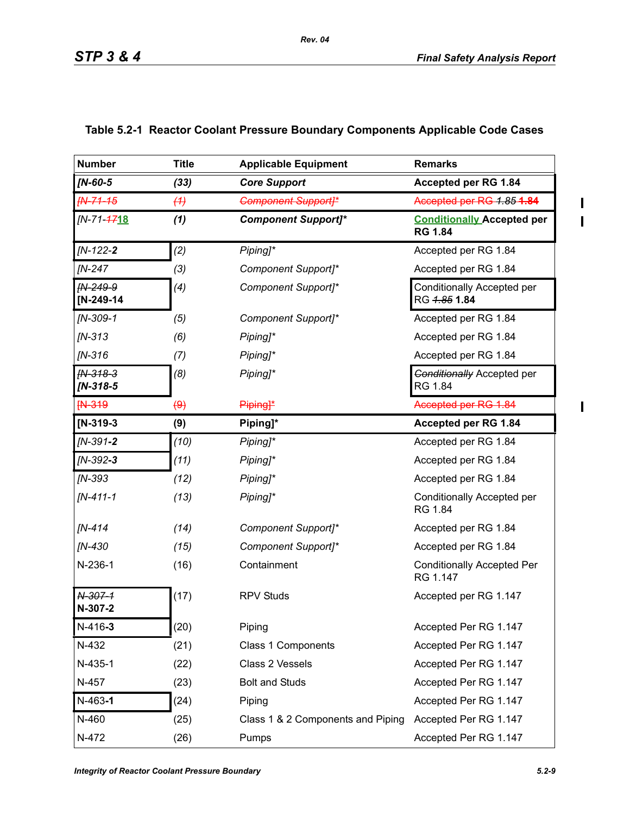$\blacksquare$  $\overline{\mathbf{I}}$ 

 $\mathbf{I}$ 

| <b>Number</b>            | <b>Title</b>            | <b>Applicable Equipment</b>       | <b>Remarks</b>                                      |
|--------------------------|-------------------------|-----------------------------------|-----------------------------------------------------|
| <b>IN-60-5</b>           | (33)                    | <b>Core Support</b>               | Accepted per RG 1.84                                |
| <b>FN-71-15</b>          | (4)                     | <b>Component Support]*</b>        | Accepted per RG 1.85 1.84                           |
| [N-71-4718               | (1)                     | <b>Component Support]*</b>        | <b>Conditionally Accepted per</b><br><b>RG 1.84</b> |
| $IN-122-2$               | (2)                     | Piping]*                          | Accepted per RG 1.84                                |
| <b>IN-247</b>            | (3)                     | Component Support]*               | Accepted per RG 1.84                                |
| IN-249-9<br>[N-249-14    | (4)                     | Component Support]*               | Conditionally Accepted per<br>RG 4.85 1.84          |
| $IN-309-1$               | (5)                     | Component Support]*               | Accepted per RG 1.84                                |
| $IN-313$                 | (6)                     | Piping]*                          | Accepted per RG 1.84                                |
| $IN-316$                 | (7)                     | Piping]*                          | Accepted per RG 1.84                                |
| $fN-318-3$<br>$IN-318-5$ | (8)                     | Piping <sub>1</sub> *             | <b>Conditionally Accepted per</b><br>RG 1.84        |
| <b>FN-319</b>            | $\left( \Theta \right)$ | Piping <sup>*</sup>               | Accepted per RG 1.84                                |
| $[N-319-3]$              | (9)                     | Piping]*                          | Accepted per RG 1.84                                |
| $IN-391-2$               | (10)                    | Piping]*                          | Accepted per RG 1.84                                |
| $IN-392-3$               | (11)                    | Piping]*                          | Accepted per RG 1.84                                |
| $IN-393$                 | (12)                    | Piping]*                          | Accepted per RG 1.84                                |
| $IN-411-1$               | (13)                    | Piping]*                          | Conditionally Accepted per<br>RG 1.84               |
| [N-414                   | (14)                    | Component Support]*               | Accepted per RG 1.84                                |
| [N-430                   | (15)                    | Component Support]*               | Accepted per RG 1.84                                |
| N-236-1                  | (16)                    | Containment                       | <b>Conditionally Accepted Per</b><br>RG 1.147       |
| N-307-1<br>N-307-2       | (17)                    | <b>RPV Studs</b>                  | Accepted per RG 1.147                               |
| $N-416-3$                | (20)                    | Piping                            | Accepted Per RG 1.147                               |
| N-432                    | (21)                    | Class 1 Components                | Accepted Per RG 1.147                               |
| $N-435-1$                | (22)                    | Class 2 Vessels                   | Accepted Per RG 1.147                               |
| N-457                    | (23)                    | <b>Bolt and Studs</b>             | Accepted Per RG 1.147                               |
| $N-463-1$                | (24)                    | Piping                            | Accepted Per RG 1.147                               |
| N-460                    | (25)                    | Class 1 & 2 Components and Piping | Accepted Per RG 1.147                               |
| N-472                    | (26)                    | Pumps                             | Accepted Per RG 1.147                               |

# **Table 5.2-1 Reactor Coolant Pressure Boundary Components Applicable Code Cases**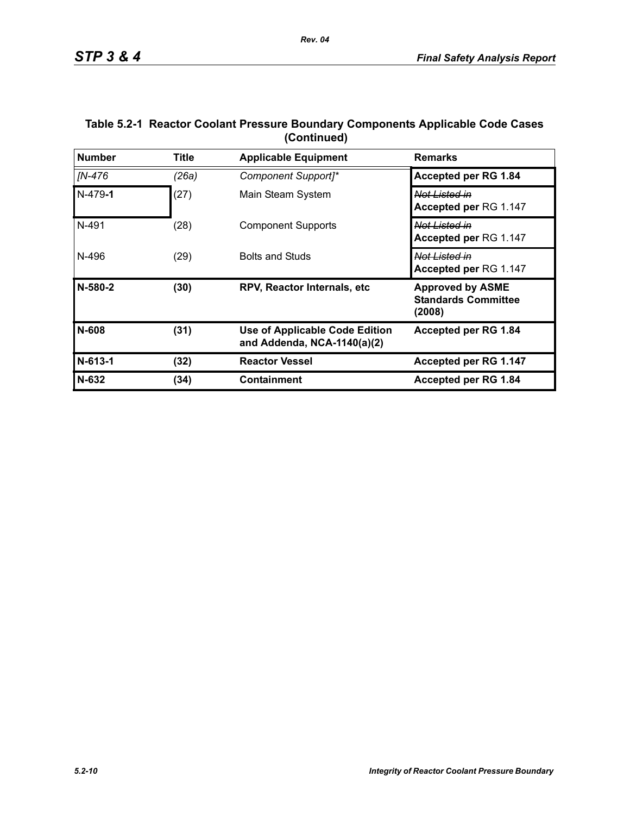| <b>Number</b> | <b>Title</b> | <b>Applicable Equipment</b>                                          | <b>Remarks</b>                                                  |
|---------------|--------------|----------------------------------------------------------------------|-----------------------------------------------------------------|
| [N-476        | (26a)        | Component Support]*                                                  | Accepted per RG 1.84                                            |
| $N-479-1$     | (27)         | Main Steam System                                                    | <del>Not Listed in</del><br>Accepted per RG 1.147               |
| N-491         | (28)         | <b>Component Supports</b>                                            | Not Listed in<br>Accepted per RG 1.147                          |
| N-496         | (29)         | <b>Bolts and Studs</b>                                               | Not Listed in<br>Accepted per RG 1.147                          |
| N-580-2       | (30)         | <b>RPV, Reactor Internals, etc.</b>                                  | <b>Approved by ASME</b><br><b>Standards Committee</b><br>(2008) |
| N-608         | (31)         | <b>Use of Applicable Code Edition</b><br>and Addenda, NCA-1140(a)(2) | Accepted per RG 1.84                                            |
| $N-613-1$     | (32)         | <b>Reactor Vessel</b>                                                | Accepted per RG 1.147                                           |
| N-632         | (34)         | <b>Containment</b>                                                   | Accepted per RG 1.84                                            |

## **Table 5.2-1 Reactor Coolant Pressure Boundary Components Applicable Code Cases (Continued)**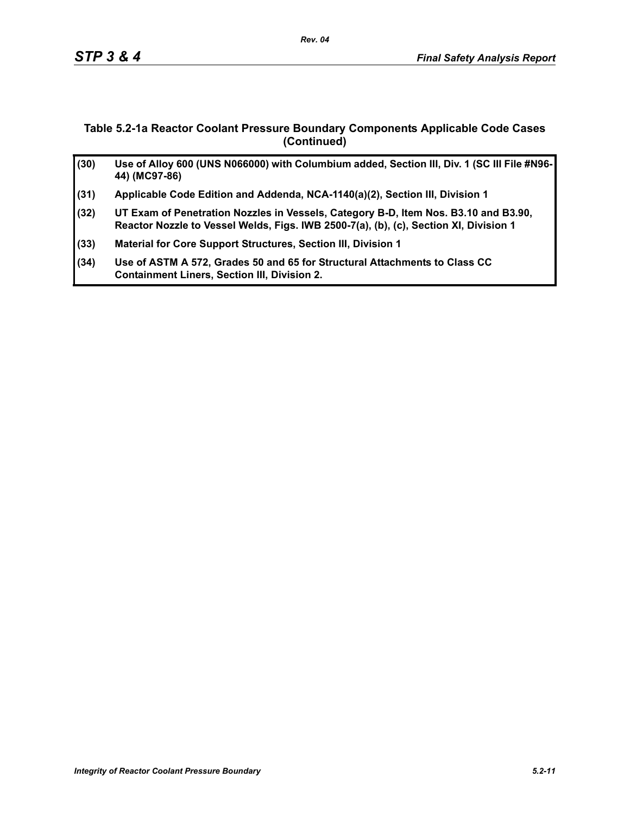# **Table 5.2-1a Reactor Coolant Pressure Boundary Components Applicable Code Cases (Continued)**

| (30) | Use of Alloy 600 (UNS N066000) with Columbium added, Section III, Div. 1 (SC III File #N96-<br>44) (MC97-86)                                                                 |
|------|------------------------------------------------------------------------------------------------------------------------------------------------------------------------------|
| (31) | Applicable Code Edition and Addenda, NCA-1140(a)(2), Section III, Division 1                                                                                                 |
| (32) | UT Exam of Penetration Nozzles in Vessels, Category B-D, Item Nos. B3.10 and B3.90,<br>Reactor Nozzle to Vessel Welds, Figs. IWB 2500-7(a), (b), (c), Section XI, Division 1 |
| (33) | Material for Core Support Structures, Section III, Division 1                                                                                                                |
| (34) | Use of ASTM A 572, Grades 50 and 65 for Structural Attachments to Class CC<br><b>Containment Liners, Section III, Division 2.</b>                                            |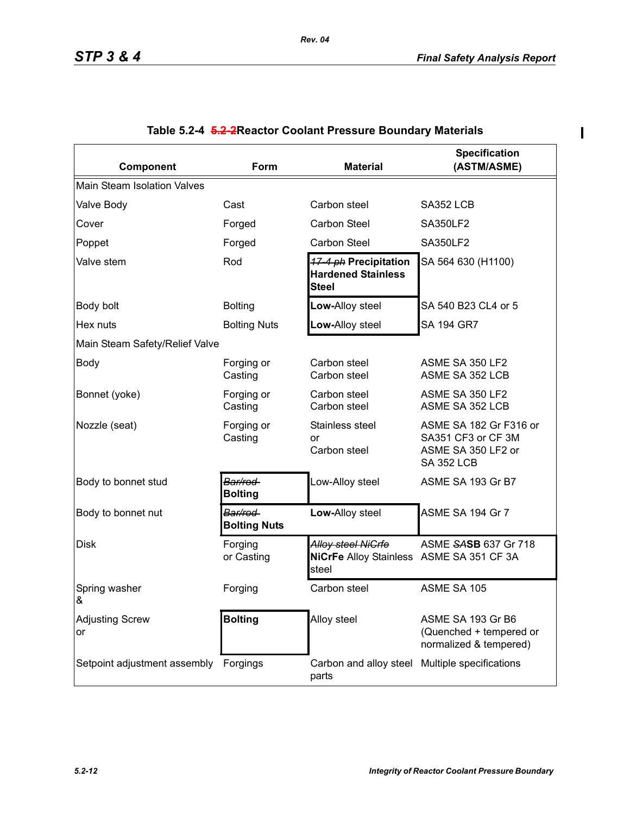$\overline{\phantom{a}}$ 

| Component                             | Form                           | <b>Material</b>                                                                | <b>Specification</b><br>(ASTM/ASME)                                                     |  |  |  |  |  |  |  |
|---------------------------------------|--------------------------------|--------------------------------------------------------------------------------|-----------------------------------------------------------------------------------------|--|--|--|--|--|--|--|
| Main Steam Isolation Valves           |                                |                                                                                |                                                                                         |  |  |  |  |  |  |  |
| Valve Body                            | Cast                           | Carbon steel                                                                   | SA352 LCB                                                                               |  |  |  |  |  |  |  |
| Cover                                 | Forged                         | Carbon Steel                                                                   | <b>SA350LF2</b>                                                                         |  |  |  |  |  |  |  |
| Poppet                                | Forged                         | Carbon Steel                                                                   | <b>SA350LF2</b>                                                                         |  |  |  |  |  |  |  |
| Valve stem                            | Rod                            | 17-4 ph Precipitation<br><b>Hardened Stainless</b><br><b>Steel</b>             | SA 564 630 (H1100)                                                                      |  |  |  |  |  |  |  |
| Body bolt                             | <b>Bolting</b>                 | Low-Alloy steel                                                                | SA 540 B23 CL4 or 5                                                                     |  |  |  |  |  |  |  |
| Hex nuts                              | <b>Bolting Nuts</b>            | Low-Alloy steel                                                                | <b>SA 194 GR7</b>                                                                       |  |  |  |  |  |  |  |
| Main Steam Safety/Relief Valve        |                                |                                                                                |                                                                                         |  |  |  |  |  |  |  |
| <b>Body</b>                           | Forging or<br>Casting          | Carbon steel<br>Carbon steel                                                   | ASME SA 350 LF2<br>ASME SA 352 LCB                                                      |  |  |  |  |  |  |  |
| Bonnet (yoke)                         | Forging or<br>Casting          | Carbon steel<br>Carbon steel                                                   | ASME SA 350 LF2<br>ASME SA 352 LCB                                                      |  |  |  |  |  |  |  |
| Nozzle (seat)                         | Forging or<br>Casting          | Stainless steel<br>or<br>Carbon steel                                          | ASME SA 182 Gr F316 or<br>SA351 CF3 or CF 3M<br>ASME SA 350 LF2 or<br><b>SA 352 LCB</b> |  |  |  |  |  |  |  |
| Body to bonnet stud                   | Bar/rod<br><b>Bolting</b>      | Low-Alloy steel                                                                | ASME SA 193 Gr B7                                                                       |  |  |  |  |  |  |  |
| Body to bonnet nut                    | Bar/rod<br><b>Bolting Nuts</b> | Low-Alloy steel                                                                | ASME SA 194 Gr 7                                                                        |  |  |  |  |  |  |  |
| <b>Disk</b>                           | Forging<br>or Casting          | <b>Alloy steel NiGrfe</b><br>NiCrFe Alloy Stainless ASME SA 351 CF 3A<br>steel | ASME SASB 637 Gr 718                                                                    |  |  |  |  |  |  |  |
| Spring washer<br>&                    | Forging                        | Carbon steel                                                                   | ASME SA 105                                                                             |  |  |  |  |  |  |  |
| <b>Adjusting Screw</b><br>or          | <b>Bolting</b>                 | Alloy steel                                                                    | ASME SA 193 Gr B6<br>(Quenched + tempered or<br>normalized & tempered)                  |  |  |  |  |  |  |  |
| Setpoint adjustment assembly Forgings |                                | Carbon and alloy steel Multiple specifications<br>parts                        |                                                                                         |  |  |  |  |  |  |  |

# **Table 5.2-4 5.2-2Reactor Coolant Pressure Boundary Materials**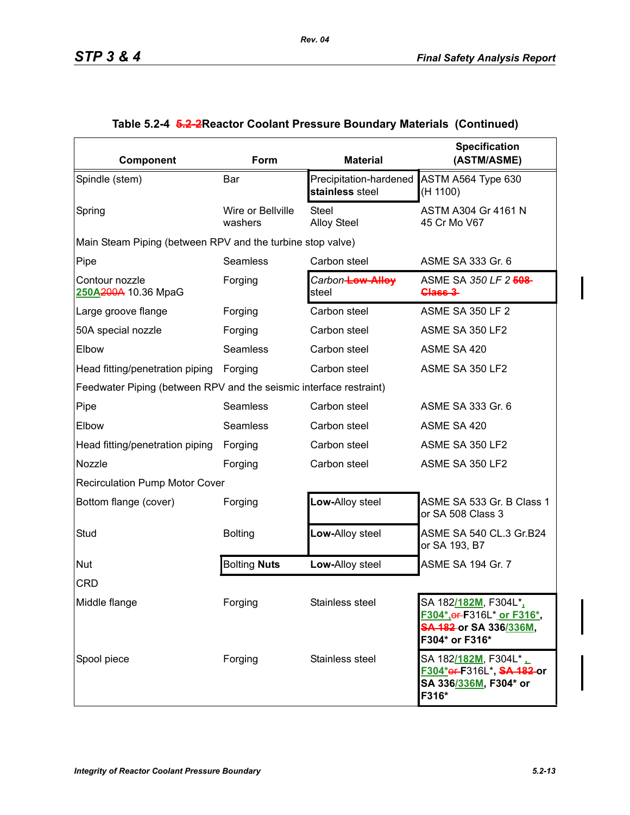| Component                                                          | Form                         | <b>Material</b>                           | <b>Specification</b><br>(ASTM/ASME)                                                                                         |
|--------------------------------------------------------------------|------------------------------|-------------------------------------------|-----------------------------------------------------------------------------------------------------------------------------|
| Spindle (stem)                                                     | Bar                          | Precipitation-hardened<br>stainless steel | ASTM A564 Type 630<br>(H 1100)                                                                                              |
| Spring                                                             | Wire or Bellville<br>washers | <b>Steel</b><br><b>Alloy Steel</b>        | ASTM A304 Gr 4161 N<br>45 Cr Mo V67                                                                                         |
| Main Steam Piping (between RPV and the turbine stop valve)         |                              |                                           |                                                                                                                             |
| Pipe                                                               | Seamless                     | Carbon steel                              | ASME SA 333 Gr. 6                                                                                                           |
| Contour nozzle<br>250A200A 10.36 MpaG                              | Forging                      | Carbon-Low-Alloy<br>steel                 | ASME SA 350 LF 2 508<br>Class 3                                                                                             |
| Large groove flange                                                | Forging                      | Carbon steel                              | <b>ASME SA 350 LF 2</b>                                                                                                     |
| 50A special nozzle                                                 | Forging                      | Carbon steel                              | ASME SA 350 LF2                                                                                                             |
| Elbow                                                              | Seamless                     | Carbon steel                              | ASME SA 420                                                                                                                 |
| Head fitting/penetration piping                                    | Forging                      | Carbon steel                              | ASME SA 350 LF2                                                                                                             |
| Feedwater Piping (between RPV and the seismic interface restraint) |                              |                                           |                                                                                                                             |
| Pipe                                                               | Seamless                     | Carbon steel                              | ASME SA 333 Gr. 6                                                                                                           |
| Elbow                                                              | Seamless                     | Carbon steel                              | ASME SA 420                                                                                                                 |
| Head fitting/penetration piping                                    | Forging                      | Carbon steel                              | ASME SA 350 LF2                                                                                                             |
| Nozzle                                                             | Forging                      | Carbon steel                              | ASME SA 350 LF2                                                                                                             |
| <b>Recirculation Pump Motor Cover</b>                              |                              |                                           |                                                                                                                             |
| Bottom flange (cover)                                              | Forging                      | Low-Alloy steel                           | ASME SA 533 Gr. B Class 1<br>or SA 508 Class 3                                                                              |
| Stud                                                               | <b>Bolting</b>               | Low-Alloy steel                           | ASME SA 540 CL.3 Gr.B24<br>or SA 193, B7                                                                                    |
| Nut                                                                | <b>Bolting Nuts</b>          | Low-Alloy steel                           | ASME SA 194 Gr. 7                                                                                                           |
| <b>CRD</b>                                                         |                              |                                           |                                                                                                                             |
| Middle flange                                                      | Forging                      | Stainless steel                           | SA 182 <u>/182M,</u> F304L*,<br>F304*, or F316L* or F316*,<br><del>SA 182 </del> or SA 336 <u>/336M</u> ,<br>F304* or F316* |
| Spool piece                                                        | Forging                      | Stainless steel                           | SA 182/182M, F304L*<br>F304*er-F316L*, SA-182-or<br>SA 336/336M, F304* or<br>F316*                                          |

# **Table 5.2-4 5.2-2Reactor Coolant Pressure Boundary Materials (Continued)**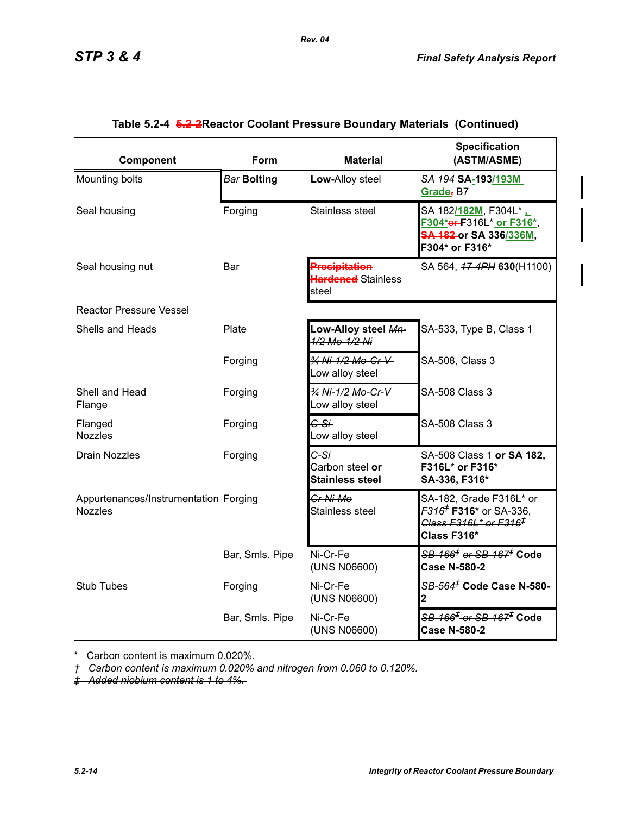| Component                                               | Form               | <b>Material</b>                                     | <b>Specification</b><br>(ASTM/ASME)                                                                                                     |
|---------------------------------------------------------|--------------------|-----------------------------------------------------|-----------------------------------------------------------------------------------------------------------------------------------------|
| Mounting bolts                                          | <b>Bar Bolting</b> | Low-Alloy steel                                     | SA 194 SA-193/193M<br>Grade, B7                                                                                                         |
| Seal housing                                            | Forging            | Stainless steel                                     | SA 182/182M, F304L* L<br>F304*er-F316L* or F316*,<br>SA 182 or SA 336/336M,<br>F304* or F316*                                           |
| Seal housing nut                                        | Bar                | <b>Precipitation</b><br>Hardened-Stainless<br>steel | SA 564, 47-4PH 630(H1100)                                                                                                               |
| <b>Reactor Pressure Vessel</b>                          |                    |                                                     |                                                                                                                                         |
| Shells and Heads                                        | Plate              | Low-Alloy steel Mn-<br>1/2 Mo-1/2 Ni                | SA-533, Type B, Class 1                                                                                                                 |
|                                                         | Forging            | 3/4 Ni-1/2 Mo-Cr-V<br>Low alloy steel               | SA-508, Class 3                                                                                                                         |
| Shell and Head<br>Flange                                | Forging            | 3/4 Ni-1/2 Mo-Cr-V<br>Low alloy steel               | <b>SA-508 Class 3</b>                                                                                                                   |
| Flanged<br><b>Nozzles</b>                               | Forging            | $G-S+$<br>Low alloy steel                           | <b>SA-508 Class 3</b>                                                                                                                   |
| <b>Drain Nozzles</b>                                    | Forging            | $C-S+$<br>Carbon steel or<br><b>Stainless steel</b> | SA-508 Class 1 or SA 182,<br>F316L* or F316*<br>SA-336, F316*                                                                           |
| Appurtenances/Instrumentation Forging<br><b>Nozzles</b> |                    | Cr-Ni-Mo<br>Stainless steel                         | SA-182, Grade F316L* or<br><del>F316<sup>†</sup></del> F316 <sup>★</sup> or SA-336,<br>Class F316L* or F316 <sup>‡</sup><br>Class F316* |
|                                                         | Bar, Smls. Pipe    | Ni-Cr-Fe<br>(UNS N06600)                            | <del>SB-166<sup>‡</sup> or SB-167<sup>≢</sup> Code</del><br><b>Case N-580-2</b>                                                         |
| <b>Stub Tubes</b>                                       | Forging            | Ni-Cr-Fe<br>(UNS N06600)                            | SB-564 <sup>#</sup> Code Case N-580-<br>2                                                                                               |
|                                                         | Bar, Smls. Pipe    | Ni-Cr-Fe<br>(UNS N06600)                            | <del>SB-166<sup>‡</sup> or SB-167<sup>‡</sup> Code</del><br><b>Case N-580-2</b>                                                         |

# **Table 5.2-4 5.2-2Reactor Coolant Pressure Boundary Materials (Continued)**

*Rev. 04*

\* Carbon content is maximum 0.020%.

*† Carbon content is maximum 0.020% and nitrogen from 0.060 to 0.120%.*

*‡ Added niobium content is 1 to 4%.*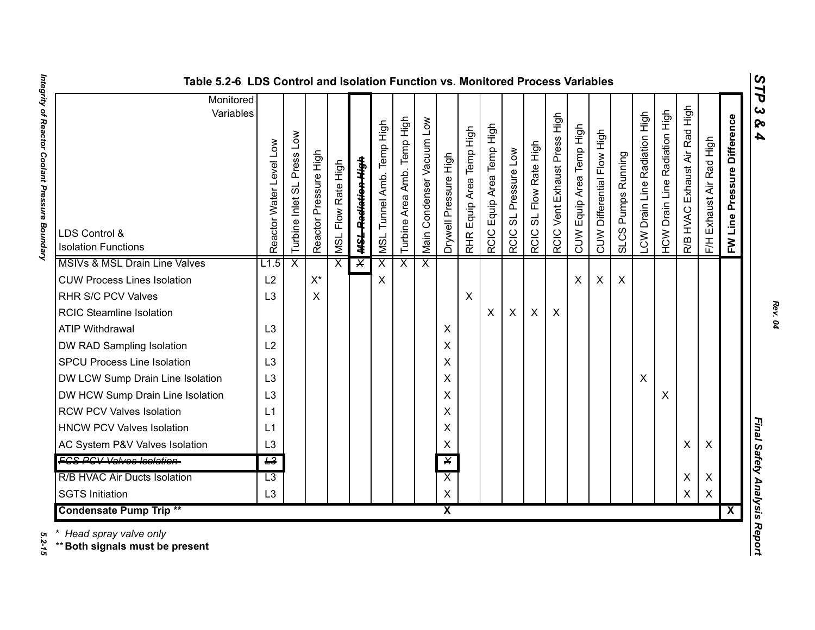| ທ |
|---|
| ⊣ |
| p |
| ພ |
| ∞ |
| 4 |

| Monitored<br>Variables                               |                            |                            |                       |                              |                               |                           |                                   |                           |                         |                                    |                                |                                |                                  |                              |                          |                            |                    |                               |                                         |                                     |                          |                                |                              |
|------------------------------------------------------|----------------------------|----------------------------|-----------------------|------------------------------|-------------------------------|---------------------------|-----------------------------------|---------------------------|-------------------------|------------------------------------|--------------------------------|--------------------------------|----------------------------------|------------------------------|--------------------------|----------------------------|--------------------|-------------------------------|-----------------------------------------|-------------------------------------|--------------------------|--------------------------------|------------------------------|
| LDS Control &<br><b>Isolation Functions</b>          | Level Low<br>Reactor Water | Turbine Inlet SL Press Low | Reactor Pressure High | Flow Rate High<br><b>ISN</b> | <del>MSL Radiation High</del> | MSL Tunnel Amb. Temp High | Temp High<br>Amb.<br>Turbine Area | Main Condenser Vacuum Low | Drywell Pressure High   | Equip Area Temp High<br><b>RHR</b> | Equip Area Temp High<br>RCIC I | SL Pressure Low<br><b>RCIC</b> | SL Flow Rate High<br><b>RCIC</b> | RCIC Vent Exhaust Press High | CUW Equip Area Temp High | CUW Differential Flow High | SLCS Pumps Running | LCW Drain Line Radiation High | Radiation High<br><b>HCW Drain Line</b> | High<br>Exhaust Air Rad<br>R/B HVAC | F/H Exhaust Air Rad High | Pressure Difference<br>FW Line | $\mathbf{c}$<br>ନ୍<br>4      |
| MSIVs & MSL Drain Line Valves<br>L1.5                |                            | $\overline{\mathsf{x}}$    |                       | $\overline{\mathsf{x}}$      | $\overline{\mathsf{X}}$       | $\overline{\mathsf{x}}$   | $\overline{\mathsf{x}}$           | $\overline{\mathsf{x}}$   |                         |                                    |                                |                                |                                  |                              |                          |                            |                    |                               |                                         |                                     |                          |                                |                              |
| <b>CUW Process Lines Isolation</b><br>L2             |                            |                            | $X^*$                 |                              |                               | X                         |                                   |                           |                         |                                    |                                |                                |                                  |                              | X                        | X                          | $\mathsf{X}$       |                               |                                         |                                     |                          |                                |                              |
| RHR S/C PCV Valves<br>L <sub>3</sub>                 |                            |                            | X                     |                              |                               |                           |                                   |                           |                         | $\boldsymbol{\mathsf{X}}$          |                                |                                |                                  |                              |                          |                            |                    |                               |                                         |                                     |                          |                                |                              |
| <b>RCIC Steamline Isolation</b>                      |                            |                            |                       |                              |                               |                           |                                   |                           |                         |                                    | X                              | $\pmb{\times}$                 | X                                | $\boldsymbol{\mathsf{X}}$    |                          |                            |                    |                               |                                         |                                     |                          |                                |                              |
| L3<br><b>ATIP Withdrawal</b>                         |                            |                            |                       |                              |                               |                           |                                   |                           | X                       |                                    |                                |                                |                                  |                              |                          |                            |                    |                               |                                         |                                     |                          |                                |                              |
| L2<br>DW RAD Sampling Isolation                      |                            |                            |                       |                              |                               |                           |                                   |                           | X                       |                                    |                                |                                |                                  |                              |                          |                            |                    |                               |                                         |                                     |                          |                                |                              |
| L <sub>3</sub><br><b>SPCU Process Line Isolation</b> |                            |                            |                       |                              |                               |                           |                                   |                           | X                       |                                    |                                |                                |                                  |                              |                          |                            |                    |                               |                                         |                                     |                          |                                |                              |
| DW LCW Sump Drain Line Isolation<br>L <sub>3</sub>   |                            |                            |                       |                              |                               |                           |                                   |                           | X                       |                                    |                                |                                |                                  |                              |                          |                            |                    | X                             |                                         |                                     |                          |                                |                              |
| DW HCW Sump Drain Line Isolation<br>L <sub>3</sub>   |                            |                            |                       |                              |                               |                           |                                   |                           | X                       |                                    |                                |                                |                                  |                              |                          |                            |                    |                               | X                                       |                                     |                          |                                |                              |
| <b>RCW PCV Valves Isolation</b><br>L1                |                            |                            |                       |                              |                               |                           |                                   |                           | X                       |                                    |                                |                                |                                  |                              |                          |                            |                    |                               |                                         |                                     |                          |                                |                              |
| <b>HNCW PCV Valves Isolation</b><br>L1               |                            |                            |                       |                              |                               |                           |                                   |                           | X                       |                                    |                                |                                |                                  |                              |                          |                            |                    |                               |                                         |                                     |                          |                                |                              |
| AC System P&V Valves Isolation<br>L3                 |                            |                            |                       |                              |                               |                           |                                   |                           | X                       |                                    |                                |                                |                                  |                              |                          |                            |                    |                               |                                         | X                                   | X                        |                                | Final Safety Analysis Report |
| <b>FCS PCV Valves Isolation-</b><br>$\overline{L^3}$ |                            |                            |                       |                              |                               |                           |                                   |                           | $\overline{\mathsf{X}}$ |                                    |                                |                                |                                  |                              |                          |                            |                    |                               |                                         |                                     |                          |                                |                              |
| R/B HVAC Air Ducts Isolation<br>$\overline{L3}$      |                            |                            |                       |                              |                               |                           |                                   |                           | $\overline{\mathsf{x}}$ |                                    |                                |                                |                                  |                              |                          |                            |                    |                               |                                         | X                                   | X                        |                                |                              |
| <b>SGTS Initiation</b><br>L <sub>3</sub>             |                            |                            |                       |                              |                               |                           |                                   |                           | $\pmb{\times}$          |                                    |                                |                                |                                  |                              |                          |                            |                    |                               |                                         | X                                   | $\pmb{\times}$           |                                |                              |
| <b>Condensate Pump Trip **</b>                       |                            |                            |                       |                              |                               |                           |                                   |                           | $\overline{\mathbf{X}}$ |                                    |                                |                                |                                  |                              |                          |                            |                    |                               |                                         |                                     |                          | $\overline{\mathbf{X}}$        |                              |

5.2-15

Integrity of Reactor Coolant Pressure Boundary *Integrity of Reactor Coolant Pressure Boundary 5.2-15*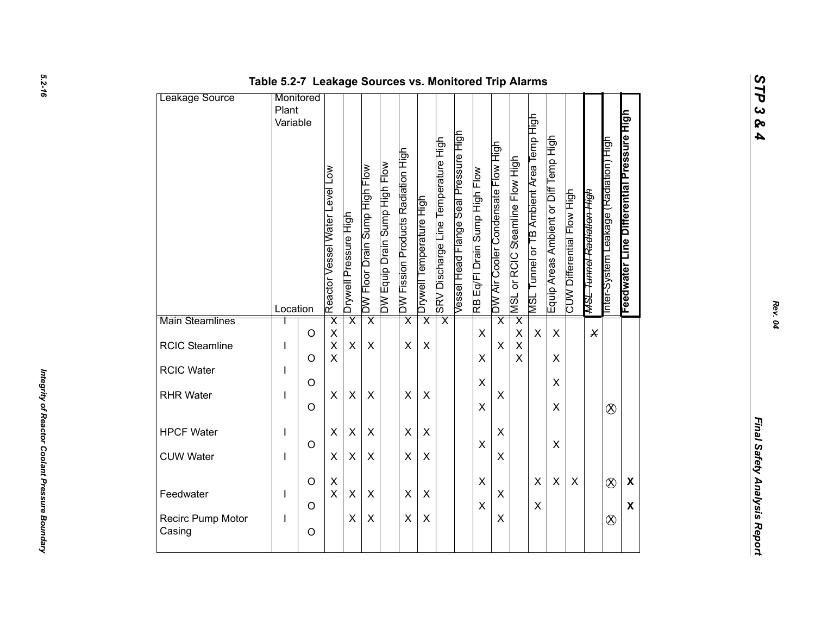| Leakage Source              | Table 5.2-7 Leakage Sources vs. Monitored Trip Alarms<br>Monitored |                    |                                                    |                         |                               |                               |                                    |                          |                                     |                                       |                               |                                    |                                 |                                         |                                       |                            |                                      |                                       |                                           |  |
|-----------------------------|--------------------------------------------------------------------|--------------------|----------------------------------------------------|-------------------------|-------------------------------|-------------------------------|------------------------------------|--------------------------|-------------------------------------|---------------------------------------|-------------------------------|------------------------------------|---------------------------------|-----------------------------------------|---------------------------------------|----------------------------|--------------------------------------|---------------------------------------|-------------------------------------------|--|
|                             | Plant<br>Variable                                                  |                    | Reactor Vessel Water Level Low                     | Drywell Pressure High   | DW Floor Drain Sump High Flow | DW Equip Drain Sump High Flow | DW Fission Products Radiation High | Drywell Temperature High | SRV Discharge Line Temperature High | Vessel Head Flange Seal Pressure High | RB Eq/Fl Drain Sump High Flow | DW Air Cooler Condensate Flow High | MSL or RCIC Steamline Flow High | MSL Tunnel or TB Ambient Area Temp High | Equip Areas Ambient or Diff Temp High | CUW Differential Flow High | <del>MSL Tunnel Radiation High</del> | Inter-System Leakage (Radiation) High | Feedwater Line Differential Pressure High |  |
| Main Steamlines             | Location                                                           |                    | $\overline{\mathsf{x}}$                            | $\overline{\mathsf{x}}$ | $\overline{\mathsf{x}}$       |                               | $\overline{\mathsf{x}}$            | $\overline{\mathsf{x}}$  | $\overline{\mathsf{x}}$             |                                       |                               | $\overline{\mathsf{x}}$            | $\overline{\mathsf{x}}$         |                                         |                                       |                            |                                      |                                       |                                           |  |
| RCIC Steamline              | I                                                                  | $\circ$<br>$\circ$ | $\pmb{\mathsf{X}}$<br>$\mathsf{X}$<br>$\mathsf{X}$ | X                       | X                             |                               | X                                  | $\pmb{\times}$           |                                     |                                       | $\mathsf{X}$<br>X             | X                                  | $\pmb{\times}$<br>$\sf X$<br>X  | $\boldsymbol{\mathsf{X}}$               | $\pmb{\times}$<br>$\pmb{\times}$      |                            | $\times$                             |                                       |                                           |  |
| RCIC Water                  |                                                                    | $\circ$            |                                                    |                         |                               |                               |                                    |                          |                                     |                                       | $\pmb{\times}$                |                                    |                                 |                                         | $\pmb{\times}$                        |                            |                                      |                                       |                                           |  |
| <b>RHR Water</b>            |                                                                    | $\circ$            | X                                                  | $\pmb{\times}$          | X                             |                               | $\pmb{\times}$                     | $\pmb{\times}$           |                                     |                                       | X                             | X                                  |                                 |                                         | $\pmb{\times}$                        |                            |                                      | $\otimes$                             |                                           |  |
| <b>HPCF Water</b>           | J.                                                                 |                    | $\pmb{\times}$                                     | X                       | $\pmb{\times}$                |                               | $\pmb{\times}$                     | X                        |                                     |                                       |                               | X                                  |                                 |                                         |                                       |                            |                                      |                                       |                                           |  |
| <b>CUW Water</b>            | I                                                                  | $\circ$            | $\pmb{\times}$                                     | X                       | $\pmb{\times}$                |                               | X                                  | X                        |                                     |                                       | X                             | X                                  |                                 |                                         | $\mathsf X$                           |                            |                                      |                                       |                                           |  |
| Feedwater                   | L                                                                  | $\circ$            | $\mathsf X$<br>$\mathsf X$                         | $\pmb{\times}$          | X                             |                               | $\pmb{\times}$                     | $\pmb{\times}$           |                                     |                                       | $\mathsf X$                   | $\pmb{\times}$                     |                                 | $\pmb{\times}$                          | $\pmb{\times}$                        | $\pmb{\times}$             |                                      | $\otimes$                             | $\boldsymbol{\mathsf{X}}$                 |  |
| Recirc Pump Motor<br>Casing | L                                                                  | $\circ$<br>$\circ$ |                                                    | X                       | $\pmb{\times}$                |                               | $\pmb{\times}$                     | $\pmb{\times}$           |                                     |                                       | $\mathsf X$                   | X                                  |                                 | $\pmb{\times}$                          |                                       |                            |                                      | $\otimes$                             | $\boldsymbol{\mathsf{X}}$                 |  |
|                             |                                                                    |                    |                                                    |                         |                               |                               |                                    |                          |                                     |                                       |                               |                                    |                                 |                                         |                                       |                            |                                      |                                       |                                           |  |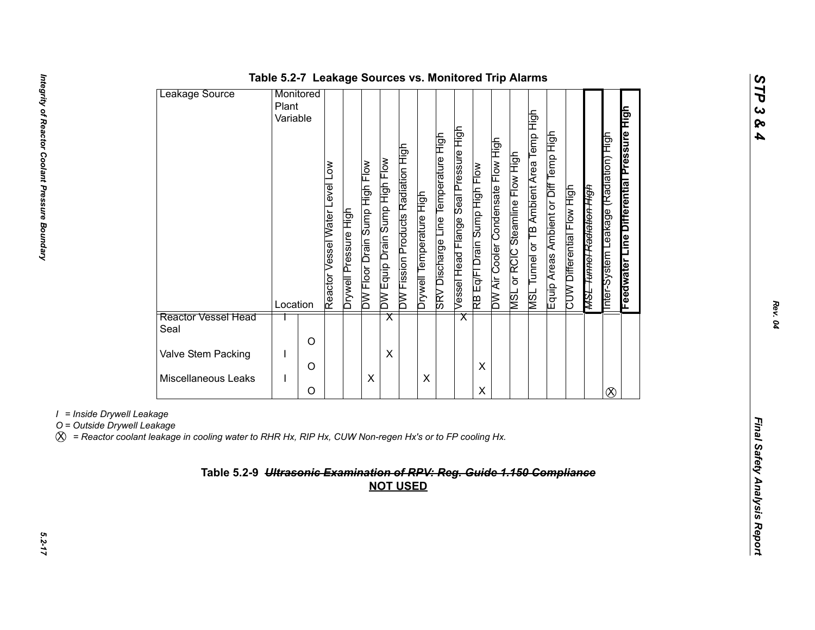| Leakage Source              | Monitored |   |                                                |                         |                               |                                  |                                    |                          |                                     |                                       |                               |                                    |                                    |                                                   |                                       |                            |                                      |                                         |                                           |
|-----------------------------|-----------|---|------------------------------------------------|-------------------------|-------------------------------|----------------------------------|------------------------------------|--------------------------|-------------------------------------|---------------------------------------|-------------------------------|------------------------------------|------------------------------------|---------------------------------------------------|---------------------------------------|----------------------------|--------------------------------------|-----------------------------------------|-------------------------------------------|
|                             | Plant     |   |                                                |                         |                               |                                  |                                    |                          |                                     |                                       |                               |                                    |                                    |                                                   |                                       |                            |                                      |                                         |                                           |
|                             | Variable  |   |                                                |                         |                               |                                  |                                    |                          |                                     |                                       |                               |                                    |                                    |                                                   |                                       |                            |                                      |                                         |                                           |
|                             | Location  |   | $\sum_{i=1}^{n}$<br>Reactor Vessel Water Level | Pressure High<br>lləwhq | DW Floor Drain Sump High Flow | High Flow<br>DW Equip Drain Sump | DW Fission Products Radiation High | Drywell Temperature High | SRV Discharge Line Temperature High | Vessel Head Flange Seal Pressure High | RB Eq/FI Drain Sump High Flow | DW Air Cooler Condensate Flow High | or RCIC Steamline Flow High<br>NSL | Tunnel or TB Ambient Area Temp High<br><b>TSN</b> | Equip Areas Ambient or Diff Temp High | CUW Differential Flow High | <del>MSL Tunnel Radiation High</del> | (Radiation) High<br>nter-System Leakage | Feedwater Line Differential Pressure High |
| Reactor Vessel Head<br>Seal |           |   |                                                |                         |                               | $\overline{\textsf{x}}$          |                                    |                          |                                     | $\overline{\mathsf{x}}$               |                               |                                    |                                    |                                                   |                                       |                            |                                      |                                         |                                           |
| Valve Stem Packing          |           | O |                                                |                         |                               | X                                |                                    |                          |                                     |                                       |                               |                                    |                                    |                                                   |                                       |                            |                                      |                                         |                                           |
| Miscellaneous Leaks         |           | O |                                                |                         | Χ                             |                                  |                                    | X                        |                                     |                                       | X                             |                                    |                                    |                                                   |                                       |                            |                                      |                                         |                                           |
|                             |           | O |                                                |                         |                               |                                  |                                    |                          |                                     |                                       | Χ                             |                                    |                                    |                                                   |                                       |                            |                                      | $\otimes$                               |                                           |

# **Table 5.2-7 Leakage Sources vs. Monitored Trip Alarms**

*I = Inside Drywell Leakage*

X *= Reactor coolant leakage in cooling water to RHR Hx, RIP Hx, CUW Non-regen Hx's or to FP cooling Hx.*

# *Final Safety Analysis Reportion Computer Computer Computer Computer Computer Computer Computer Computer Computer Computer of Computer of Computer Computer Computer Computer Computer Computer Computer Computer Computer Com*

*STP 3 & 4*